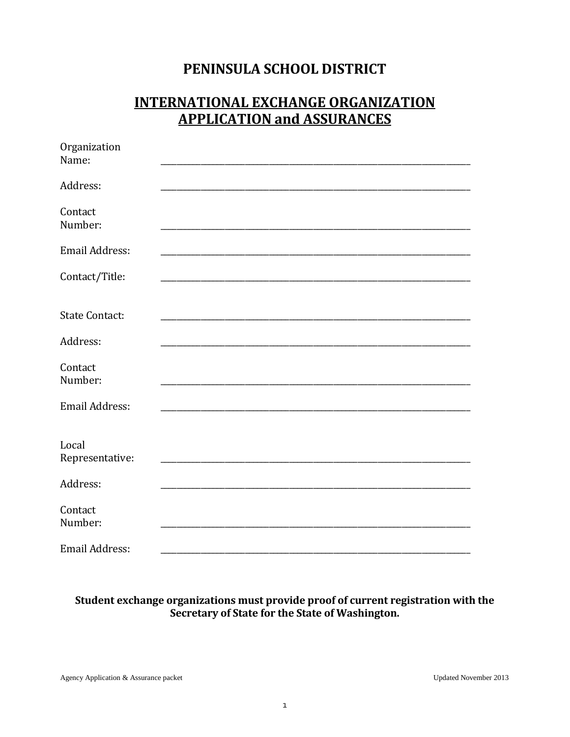## PENINSULA SCHOOL DISTRICT

### **INTERNATIONAL EXCHANGE ORGANIZATION APPLICATION and ASSURANCES**

| Organization<br>Name:    |  |  |
|--------------------------|--|--|
| Address:                 |  |  |
| Contact<br>Number:       |  |  |
| Email Address:           |  |  |
| Contact/Title:           |  |  |
|                          |  |  |
| <b>State Contact:</b>    |  |  |
| Address:                 |  |  |
| Contact<br>Number:       |  |  |
| <b>Email Address:</b>    |  |  |
|                          |  |  |
| Local<br>Representative: |  |  |
| Address:                 |  |  |
| Contact<br>Number:       |  |  |
| Email Address:           |  |  |

# Student exchange organizations must provide proof of current registration with the<br>Secretary of State for the State of Washington.

Agency Application & Assurance packet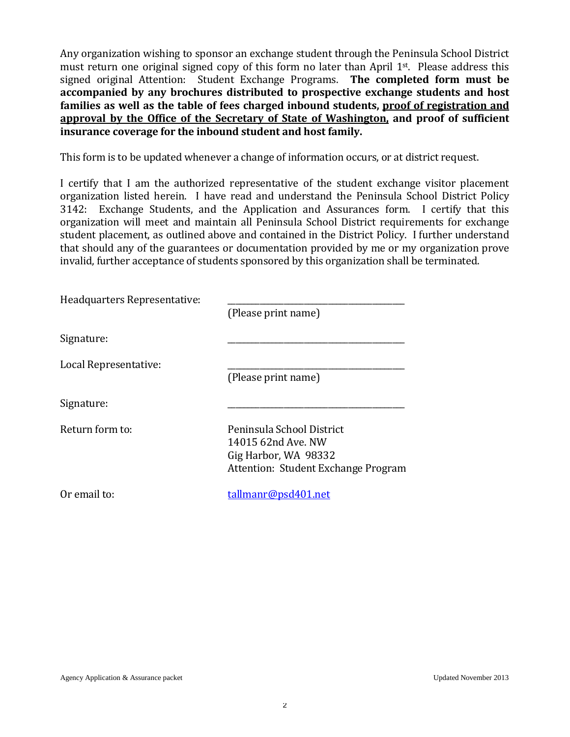Any organization wishing to sponsor an exchange student through the Peninsula School District must return one original signed copy of this form no later than April 1st. Please address this signed original Attention: Student Exchange Programs. **The completed form must be accompanied by any brochures distributed to prospective exchange students and host families as well as the table of fees charged inbound students, proof of registration and approval by the Office of the Secretary of State of Washington, and proof of sufficient insurance coverage for the inbound student and host family.**

This form is to be updated whenever a change of information occurs, or at district request.

I certify that I am the authorized representative of the student exchange visitor placement organization listed herein. I have read and understand the Peninsula School District Policy 3142: Exchange Students, and the Application and Assurances form. I certify that this organization will meet and maintain all Peninsula School District requirements for exchange student placement, as outlined above and contained in the District Policy. I further understand that should any of the guarantees or documentation provided by me or my organization prove invalid, further acceptance of students sponsored by this organization shall be terminated.

| Headquarters Representative: |                                     |
|------------------------------|-------------------------------------|
|                              | (Please print name)                 |
| Signature:                   |                                     |
| Local Representative:        |                                     |
|                              | (Please print name)                 |
| Signature:                   |                                     |
| Return form to:              | Peninsula School District           |
|                              | 14015 62nd Ave. NW                  |
|                              | Gig Harbor, WA 98332                |
|                              | Attention: Student Exchange Program |
| Or email to:                 | tallmanr@psd401.net                 |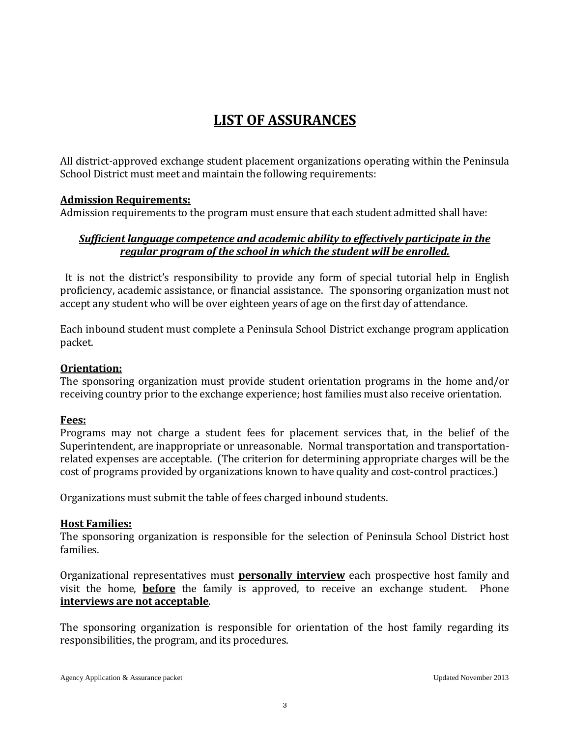## **LIST OF ASSURANCES**

All district-approved exchange student placement organizations operating within the Peninsula School District must meet and maintain the following requirements:

#### **Admission Requirements:**

Admission requirements to the program must ensure that each student admitted shall have:

#### *Sufficient language competence and academic ability to effectively participate in the regular program of the school in which the student will be enrolled.*

 It is not the district's responsibility to provide any form of special tutorial help in English proficiency, academic assistance, or financial assistance. The sponsoring organization must not accept any student who will be over eighteen years of age on the first day of attendance.

Each inbound student must complete a Peninsula School District exchange program application packet.

#### **Orientation:**

The sponsoring organization must provide student orientation programs in the home and/or receiving country prior to the exchange experience; host families must also receive orientation.

#### **Fees:**

Programs may not charge a student fees for placement services that, in the belief of the Superintendent, are inappropriate or unreasonable. Normal transportation and transportationrelated expenses are acceptable. (The criterion for determining appropriate charges will be the cost of programs provided by organizations known to have quality and cost-control practices.)

Organizations must submit the table of fees charged inbound students.

#### **Host Families:**

The sponsoring organization is responsible for the selection of Peninsula School District host families.

Organizational representatives must **personally interview** each prospective host family and visit the home, **before** the family is approved, to receive an exchange student. Phone **interviews are not acceptable**.

The sponsoring organization is responsible for orientation of the host family regarding its responsibilities, the program, and its procedures.